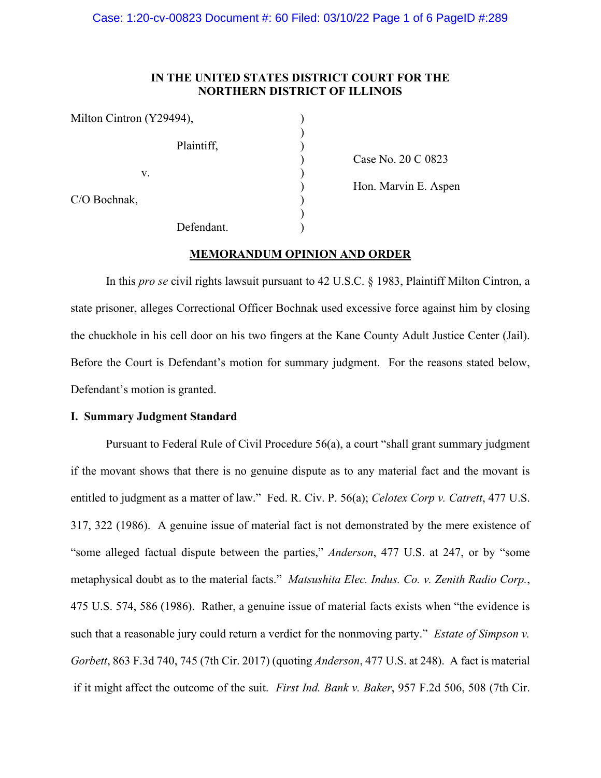### **IN THE UNITED STATES DISTRICT COURT FOR THE NORTHERN DISTRICT OF ILLINOIS**

 $\sum$ 

| Milton Cintron (Y29494), |            |  |
|--------------------------|------------|--|
|                          | Plaintiff, |  |
| V.                       |            |  |
| C/O Bochnak,             |            |  |
|                          | Defendant. |  |

) Case No. 20 C 0823

) Hon. Marvin E. Aspen

# **MEMORANDUM OPINION AND ORDER**

In this *pro se* civil rights lawsuit pursuant to 42 U.S.C. § 1983, Plaintiff Milton Cintron, a state prisoner, alleges Correctional Officer Bochnak used excessive force against him by closing the chuckhole in his cell door on his two fingers at the Kane County Adult Justice Center (Jail). Before the Court is Defendant's motion for summary judgment. For the reasons stated below, Defendant's motion is granted.

### **I. Summary Judgment Standard**

Pursuant to Federal Rule of Civil Procedure 56(a), a court "shall grant summary judgment if the movant shows that there is no genuine dispute as to any material fact and the movant is entitled to judgment as a matter of law." Fed. R. Civ. P. 56(a); *Celotex Corp v. Catrett*, 477 U.S. 317, 322 (1986). A genuine issue of material fact is not demonstrated by the mere existence of "some alleged factual dispute between the parties," *Anderson*, 477 U.S. at 247, or by "some metaphysical doubt as to the material facts." *Matsushita Elec. Indus. Co. v. Zenith Radio Corp.*, 475 U.S. 574, 586 (1986). Rather, a genuine issue of material facts exists when "the evidence is such that a reasonable jury could return a verdict for the nonmoving party." *Estate of Simpson v. Gorbett*, 863 F.3d 740, 745 (7th Cir. 2017) (quoting *Anderson*, 477 U.S. at 248). A fact is material if it might affect the outcome of the suit. *First Ind. Bank v. Baker*, 957 F.2d 506, 508 (7th Cir.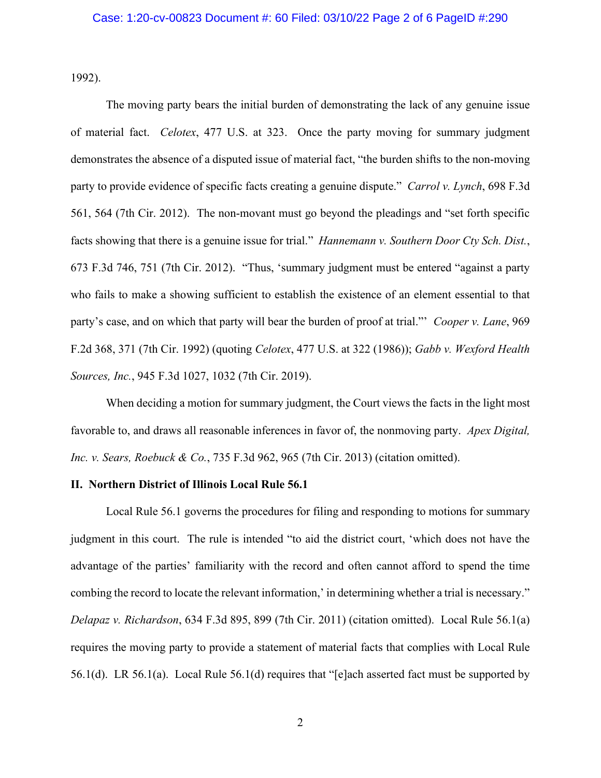1992).

The moving party bears the initial burden of demonstrating the lack of any genuine issue of material fact. *Celotex*, 477 U.S. at 323. Once the party moving for summary judgment demonstrates the absence of a disputed issue of material fact, "the burden shifts to the non-moving party to provide evidence of specific facts creating a genuine dispute." *Carrol v. Lynch*, 698 F.3d 561, 564 (7th Cir. 2012). The non-movant must go beyond the pleadings and "set forth specific facts showing that there is a genuine issue for trial." *Hannemann v. Southern Door Cty Sch. Dist.*, 673 F.3d 746, 751 (7th Cir. 2012). "Thus, 'summary judgment must be entered "against a party who fails to make a showing sufficient to establish the existence of an element essential to that party's case, and on which that party will bear the burden of proof at trial."' *Cooper v. Lane*, 969 F.2d 368, 371 (7th Cir. 1992) (quoting *Celotex*, 477 U.S. at 322 (1986)); *Gabb v. Wexford Health Sources, Inc.*, 945 F.3d 1027, 1032 (7th Cir. 2019).

When deciding a motion for summary judgment, the Court views the facts in the light most favorable to, and draws all reasonable inferences in favor of, the nonmoving party. *Apex Digital, Inc. v. Sears, Roebuck & Co.*, 735 F.3d 962, 965 (7th Cir. 2013) (citation omitted).

# **II. Northern District of Illinois Local Rule 56.1**

Local Rule 56.1 governs the procedures for filing and responding to motions for summary judgment in this court. The rule is intended "to aid the district court, 'which does not have the advantage of the parties' familiarity with the record and often cannot afford to spend the time combing the record to locate the relevant information,' in determining whether a trial is necessary." *Delapaz v. Richardson*, 634 F.3d 895, 899 (7th Cir. 2011) (citation omitted). Local Rule 56.1(a) requires the moving party to provide a statement of material facts that complies with Local Rule 56.1(d). LR 56.1(a). Local Rule 56.1(d) requires that "[e]ach asserted fact must be supported by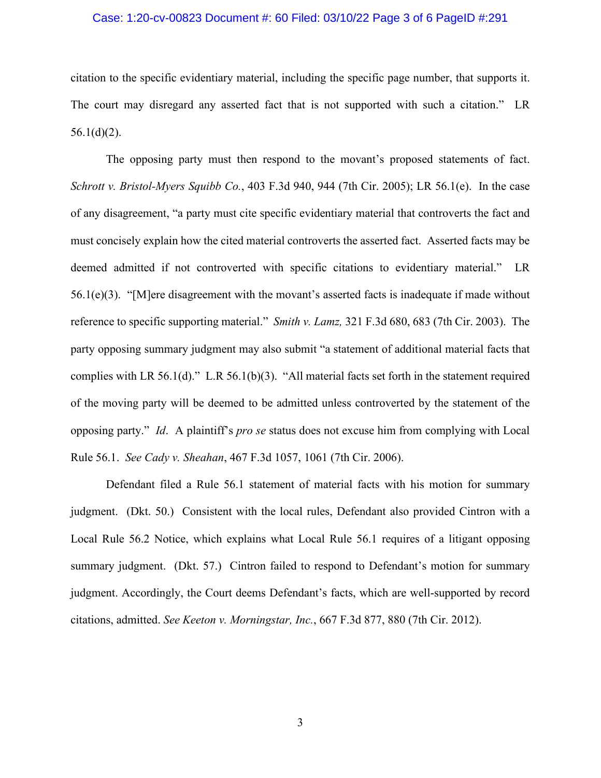### Case: 1:20-cv-00823 Document #: 60 Filed: 03/10/22 Page 3 of 6 PageID #:291

citation to the specific evidentiary material, including the specific page number, that supports it. The court may disregard any asserted fact that is not supported with such a citation." LR  $56.1(d)(2)$ .

The opposing party must then respond to the movant's proposed statements of fact. *[Schrott v. Bristol-Myers Squibb Co.](https://web2.westlaw.com/find/default.wl?mt=Westlaw&db=0000506&tc=-1&rp=%2ffind%2fdefault.wl&findtype=Y&ordoc=2036243492&serialnum=2006464425&vr=2.0&fn=_top&sv=Split&tf=-1&referencepositiontype=S&pbc=5AA5E9CC&referenceposition=944&rs=WLW15.04)*, 403 F.3d 940, 944 (7th Cir. 2005); LR 56.1(e). In the case of any disagreement, "a party must cite specific evidentiary material that controverts the fact and must concisely explain how the cited material controverts the asserted fact. Asserted facts may be deemed admitted if not controverted with specific citations to evidentiary material." LR 56.1(e)(3). "[M]ere disagreement with the movant's asserted facts is inadequate if made without reference to specific supporting material." *Smith v. Lamz,* [321 F.3d 680, 683 \(7th Cir. 2003\).](https://web2.westlaw.com/find/default.wl?mt=Westlaw&db=0000506&tc=-1&rp=%2ffind%2fdefault.wl&findtype=Y&ordoc=2036243492&serialnum=2003193643&vr=2.0&fn=_top&sv=Split&tf=-1&referencepositiontype=S&pbc=5AA5E9CC&referenceposition=683&rs=WLW15.04) The party opposing summary judgment may also submit "a statement of additional material facts that complies with LR 56.1(d)." L.R 56.1(b)(3). "All material facts set forth in the statement required of the moving party will be deemed to be admitted unless controverted by the statement of the opposing party." *Id*. A plaintiff's *pro se* status does not excuse him from complying with Local Rule 56.1. *See Cady v. Sheahan*, 467 F.3d 1057, 1061 (7th Cir. 2006).

Defendant filed a Rule 56.1 statement of material facts with his motion for summary judgment. (Dkt. 50.) Consistent with the local rules, Defendant also provided Cintron with a Local Rule 56.2 Notice, which explains what Local Rule 56.1 requires of a litigant opposing summary judgment. (Dkt. 57.) Cintron failed to respond to Defendant's motion for summary judgment. Accordingly, the Court deems Defendant's facts, which are well-supported by record citations, admitted. *See Keeton v. Morningstar, Inc.*, 667 F.3d 877, 880 (7th Cir. 2012).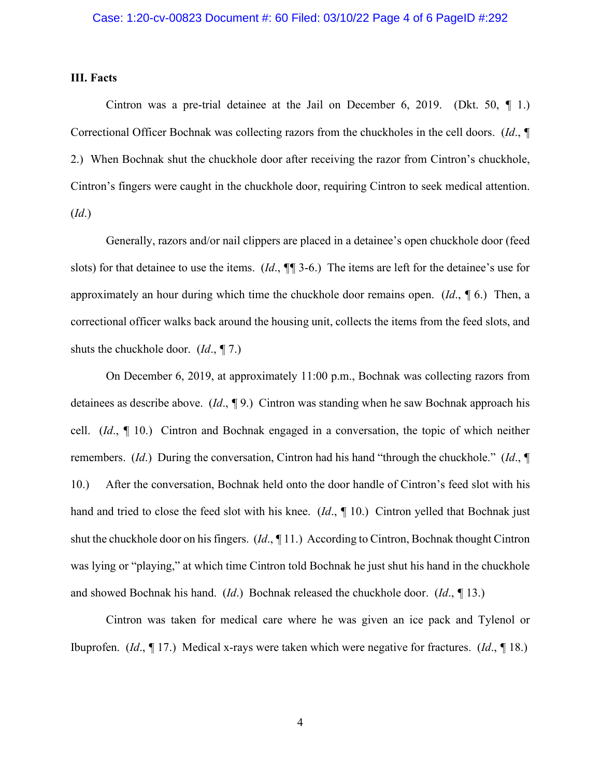### **III. Facts**

Cintron was a pre-trial detainee at the Jail on December 6, 2019. (Dkt. 50, *¶* 1.) Correctional Officer Bochnak was collecting razors from the chuckholes in the cell doors. (*Id*., *¶* 2.) When Bochnak shut the chuckhole door after receiving the razor from Cintron's chuckhole, Cintron's fingers were caught in the chuckhole door, requiring Cintron to seek medical attention. (*Id*.)

Generally, razors and/or nail clippers are placed in a detainee's open chuckhole door (feed slots) for that detainee to use the items. (*Id*., *¶¶* 3-6.) The items are left for the detainee's use for approximately an hour during which time the chuckhole door remains open. (*Id*., *¶* 6.) Then, a correctional officer walks back around the housing unit, collects the items from the feed slots, and shuts the chuckhole door. (*Id*., *¶* 7.)

On December 6, 2019, at approximately 11:00 p.m., Bochnak was collecting razors from detainees as describe above. (*Id*., *¶* 9.) Cintron was standing when he saw Bochnak approach his cell. (*Id*., *¶* 10.) Cintron and Bochnak engaged in a conversation, the topic of which neither remembers. (*Id*.) During the conversation, Cintron had his hand "through the chuckhole." (*Id*., *¶* 10.) After the conversation, Bochnak held onto the door handle of Cintron's feed slot with his hand and tried to close the feed slot with his knee. (*Id*., *¶* 10.) Cintron yelled that Bochnak just shut the chuckhole door on his fingers. (*Id*., *¶* 11.) According to Cintron, Bochnak thought Cintron was lying or "playing," at which time Cintron told Bochnak he just shut his hand in the chuckhole and showed Bochnak his hand. (*Id*.) Bochnak released the chuckhole door. (*Id*., *¶* 13.)

Cintron was taken for medical care where he was given an ice pack and Tylenol or Ibuprofen. (*Id*., *¶* 17.) Medical x-rays were taken which were negative for fractures. (*Id*., *¶* 18.)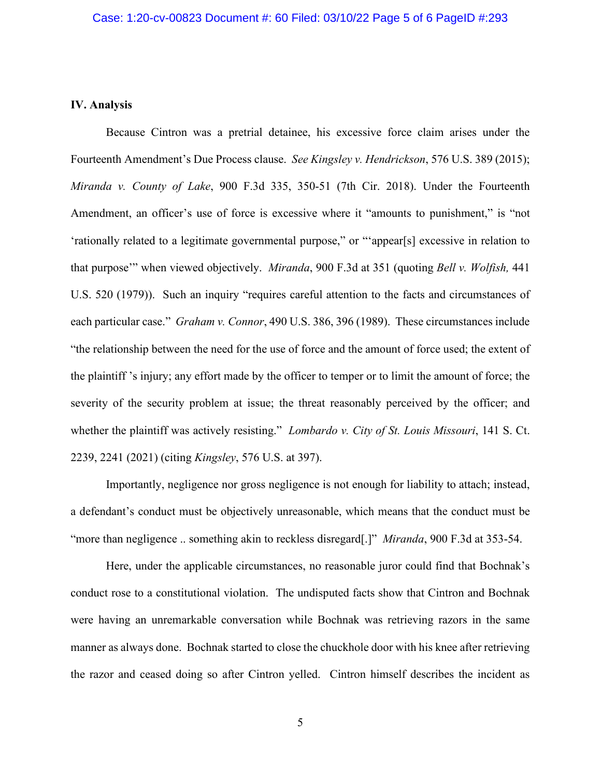### **IV. Analysis**

Because Cintron was a pretrial detainee, his excessive force claim arises under the Fourteenth Amendment's Due Process clause. *See Kingsley v. Hendrickson*, 576 U.S. 389 (2015); *Miranda v. County of Lake*, 900 F.3d 335, 350-51 (7th Cir. 2018). Under the Fourteenth Amendment, an officer's use of force is excessive where it "amounts to punishment," is "not 'rationally related to a legitimate governmental purpose," or "'appear[s] excessive in relation to that purpose'" when viewed objectively. *Miranda*, 900 F.3d at 351 (quoting *Bell v. Wolfish,* 441 U.S. 520 (1979)). Such an inquiry "requires careful attention to the facts and circumstances of each particular case." *Graham v. Connor*, 490 U.S. 386, 396 (1989). These circumstances include "the relationship between the need for the use of force and the amount of force used; the extent of the plaintiff 's injury; any effort made by the officer to temper or to limit the amount of force; the severity of the security problem at issue; the threat reasonably perceived by the officer; and whether the plaintiff was actively resisting." *Lombardo v. City of St. Louis Missouri*, 141 S. Ct. 2239, 2241 (2021) (citing *Kingsley*, 576 U.S. at 397).

Importantly, negligence nor gross negligence is not enough for liability to attach; instead, a defendant's conduct must be objectively unreasonable, which means that the conduct must be "more than negligence .. something akin to reckless disregard[.]" *Miranda*, 900 F.3d at 353-54.

Here, under the applicable circumstances, no reasonable juror could find that Bochnak's conduct rose to a constitutional violation. The undisputed facts show that Cintron and Bochnak were having an unremarkable conversation while Bochnak was retrieving razors in the same manner as always done. Bochnak started to close the chuckhole door with his knee after retrieving the razor and ceased doing so after Cintron yelled. Cintron himself describes the incident as